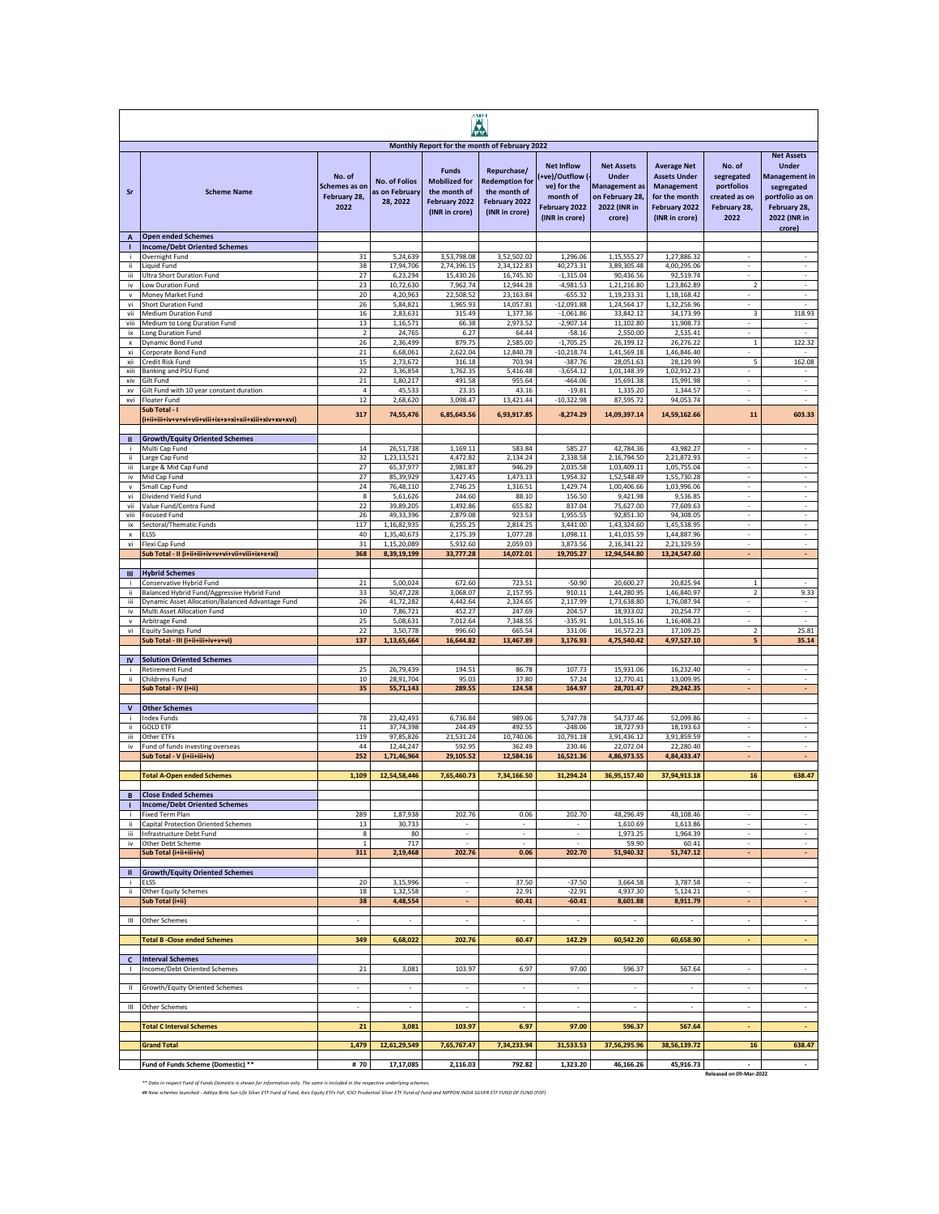| <b>AMF</b>                   |                                                                         |                                                 |                                                    |                                                                                                                                          |                                                                                         |                                                                                                    |                                                                                                        |                                                                                                             |                                                                             |                                                                                                                                      |
|------------------------------|-------------------------------------------------------------------------|-------------------------------------------------|----------------------------------------------------|------------------------------------------------------------------------------------------------------------------------------------------|-----------------------------------------------------------------------------------------|----------------------------------------------------------------------------------------------------|--------------------------------------------------------------------------------------------------------|-------------------------------------------------------------------------------------------------------------|-----------------------------------------------------------------------------|--------------------------------------------------------------------------------------------------------------------------------------|
| Sr                           | <b>Scheme Name</b>                                                      | No. of<br>Schemes as on<br>February 28,<br>2022 | <b>No. of Folios</b><br>as on February<br>28, 2022 | Monthly Report for the month of February 2022<br><b>Funds</b><br><b>Mobilized for</b><br>the month of<br>February 2022<br>(INR in crore) | Repurchase/<br><b>Redemption for</b><br>the month of<br>February 2022<br>(INR in crore) | <b>Net Inflow</b><br>+ve)/Outflow (-<br>ve) for the<br>month of<br>February 2022<br>(INR in crore) | <b>Net Assets</b><br><b>Under</b><br><b>Management</b> as<br>on February 28,<br>2022 (INR in<br>crore) | <b>Average Net</b><br><b>Assets Under</b><br>Management<br>for the month<br>February 2022<br>(INR in crore) | No. of<br>segregated<br>portfolios<br>created as on<br>February 28,<br>2022 | <b>Net Assets</b><br><b>Under</b><br><b>Management in</b><br>segregated<br>portfolio as on<br>February 28,<br>2022 (INR in<br>crore) |
| $\overline{A}$<br>т          | <b>Open ended Schemes</b><br><b>Income/Debt Oriented Schemes</b>        |                                                 |                                                    |                                                                                                                                          |                                                                                         |                                                                                                    |                                                                                                        |                                                                                                             |                                                                             |                                                                                                                                      |
| ÷                            | Overnight Fund                                                          | 31                                              | 5,24,639                                           | 3,53,798.08                                                                                                                              | 3,52,502.02                                                                             | 1,296.06                                                                                           | 1,15,555.27                                                                                            | 1,27,886.32                                                                                                 | $\overline{\phantom{a}}$                                                    | $\overline{\phantom{a}}$                                                                                                             |
| ii.<br>iii.                  | Liquid Fund<br>Ultra Short Duration Fund                                | 38<br>$27\,$                                    | 17,94,706<br>6,23,294                              | 2,74,396.15<br>15,430.26                                                                                                                 | 2,34,122.83<br>16,745.30                                                                | 40,273.31<br>$-1,315.04$                                                                           | 3,89,305.48<br>90,436.56                                                                               | 4,00,295.06<br>92,519.74                                                                                    | $\overline{\phantom{a}}$<br>$\overline{\phantom{a}}$                        | $\sim$<br>$\overline{\phantom{a}}$                                                                                                   |
| iv                           | Low Duration Fund                                                       | 23                                              | 10,72,630                                          | 7,962.74                                                                                                                                 | 12.944.28                                                                               | $-4,981.53$                                                                                        | 1,21,216.80                                                                                            | 1,23,862.89                                                                                                 | $\overline{2}$                                                              | $\overline{\phantom{a}}$                                                                                                             |
| $\mathbf v$                  | Money Market Fund                                                       | 20                                              | 4,20,963                                           | 22,508.52                                                                                                                                | 23,163.84                                                                               | $-655.32$                                                                                          | 1,19,233.31                                                                                            | 1,18,168.42                                                                                                 | $\bar{a}$                                                                   | $\overline{\phantom{a}}$                                                                                                             |
| vi<br>vii                    | Short Duration Fund<br>Medium Duration Fund                             | 26<br>16                                        | 5,84,821<br>2,83,631                               | 1,965.93<br>315.49                                                                                                                       | 14,057.81<br>1,377.36                                                                   | $-12,091.88$<br>$-1,061.86$                                                                        | 1,24,564.17<br>33.842.12                                                                               | 1,32,256.96<br>34,173.99                                                                                    | ä,<br>3                                                                     | ÷,<br>318.93                                                                                                                         |
| viii                         | Medium to Long Duration Fund                                            | 13                                              | 1,16,571                                           | 66.38                                                                                                                                    | 2,973.52                                                                                | $-2,907.14$                                                                                        | 11,102.80                                                                                              | 11,908.73                                                                                                   |                                                                             |                                                                                                                                      |
| ix<br>x                      | Long Duration Fund<br>Dynamic Bond Fund                                 | $\mathbf 2$<br>26                               | 24,765<br>2,36,499                                 | 6.27<br>879.75                                                                                                                           | 64.44<br>2,585.00                                                                       | $-58.16$<br>$-1,705.25$                                                                            | 2,550.00<br>26,199.12                                                                                  | 2,535.41<br>26,276.22                                                                                       | ÷<br>$\mathbf{1}$                                                           | $\sim$<br>122.32                                                                                                                     |
| xi                           | Corporate Bond Fund                                                     | 21                                              | 6,68,061                                           | 2,622.04                                                                                                                                 | 12,840.78                                                                               | $-10,218.74$                                                                                       | 1,41,569.18                                                                                            | 1,46,846.40                                                                                                 |                                                                             |                                                                                                                                      |
| xii                          | Credit Risk Fund                                                        | 15                                              | 2,73,672                                           | 316.18                                                                                                                                   | 703.94                                                                                  | $-387.76$                                                                                          | 28,051.63                                                                                              | 28,129.99                                                                                                   | 5                                                                           | 162.08                                                                                                                               |
| xiii<br>xiv                  | Banking and PSU Fund<br>Gilt Fund                                       | 22<br>$\bf{21}$                                 | 3,36,854<br>1,80,217                               | 1,762.35<br>491.58                                                                                                                       | 5,416.48<br>955.64                                                                      | $-3,654.12$<br>$-464.06$                                                                           | 1,01,148.39<br>15,691.38                                                                               | 1,02,912.23<br>15,991.98                                                                                    | $\sim$                                                                      | $\alpha$                                                                                                                             |
| xv                           | Gilt Fund with 10 year constant duration                                | 4                                               | 45,533                                             | 23.35                                                                                                                                    | 43.16                                                                                   | $-19.81$                                                                                           | 1,335.20                                                                                               | 1,344.57                                                                                                    | $\overline{\phantom{a}}$                                                    | $\sim$                                                                                                                               |
| xvi                          | Floater Fund<br>Sub Total - I                                           | 12                                              | 2,68,620                                           | 3,098.47                                                                                                                                 | 13,421.44                                                                               | $-10,322.98$                                                                                       | 87,595.72                                                                                              | 94,053.74                                                                                                   | $\overline{\phantom{a}}$                                                    | $\sim$                                                                                                                               |
|                              |                                                                         | 317                                             | 74,55,476                                          | 6,85,643.56                                                                                                                              | 6,93,917.85                                                                             | $-8,274.29$                                                                                        | 14,09,397.14                                                                                           | 14,59,162.66                                                                                                | ${\bf 11}$                                                                  | 603.33                                                                                                                               |
| Ш                            | <b>Growth/Equity Oriented Schemes</b>                                   |                                                 |                                                    |                                                                                                                                          |                                                                                         |                                                                                                    |                                                                                                        |                                                                                                             |                                                                             |                                                                                                                                      |
| j.<br>ii.                    | Multi Cap Fund<br>Large Cap Fund                                        | 14<br>32                                        | 26,51,738<br>1,23,13,521                           | 1,169.11<br>4.472.82                                                                                                                     | 583.84<br>2,134.24                                                                      | 585.27<br>2,338.58                                                                                 | 42,784.36<br>2,16,794.50                                                                               | 43,982.27<br>2,21,872.93                                                                                    | $\sim$                                                                      | $\sim$                                                                                                                               |
| iii                          | Large & Mid Cap Fund                                                    | 27                                              | 65,37,977                                          | 2,981.87                                                                                                                                 | 946.29                                                                                  | 2,035.58                                                                                           | 1,03,409.11                                                                                            | 1,05,755.04                                                                                                 |                                                                             | à.                                                                                                                                   |
| iv                           | Mid Cap Fund                                                            | 27<br>24                                        | 85,39,929                                          | 3,427.45                                                                                                                                 | 1,473.13                                                                                | 1,954.32                                                                                           | 1,52,548.49                                                                                            | 1,55,730.28                                                                                                 | $\overline{\phantom{a}}$                                                    | $\overline{\phantom{a}}$                                                                                                             |
| $\mathsf{v}$<br>vi           | Small Cap Fund<br>Dividend Yield Fund                                   | 8                                               | 76,48,110<br>5,61,626                              | 2,746.25<br>244.60                                                                                                                       | 1,316.51<br>88.10                                                                       | 1,429.74<br>156.50                                                                                 | 1,00,406.66<br>9,421.98                                                                                | 1,03,996.06<br>9,536.85                                                                                     | $\overline{\phantom{a}}$<br>$\overline{\phantom{a}}$                        | $\overline{\phantom{a}}$<br>$\sim$                                                                                                   |
| vii                          | Value Fund/Contra Fund                                                  | 22                                              | 39,89,205                                          | 1,492.86                                                                                                                                 | 655.82                                                                                  | 837.04                                                                                             | 75,627.00                                                                                              | 77,609.63                                                                                                   | $\overline{\phantom{a}}$                                                    | $\overline{\phantom{a}}$                                                                                                             |
| viii<br>ix                   | Focused Fund<br>Sectoral/Thematic Funds                                 | 26<br>117                                       | 49,33,396<br>1,16,82,935                           | 2,879.08<br>6.255.25                                                                                                                     | 923.53<br>2,814.25                                                                      | 1,955.55<br>3.441.00                                                                               | 92,851.30<br>1,43,324.60                                                                               | 94,308.05<br>1,45,538.95                                                                                    | $\overline{\phantom{a}}$<br>$\sim$                                          | $\overline{\phantom{a}}$<br>$\mathcal{L}_{\mathcal{A}}$                                                                              |
| $\boldsymbol{\mathsf{x}}$    | ELSS                                                                    | 40                                              | 1,35,40,673                                        | 2,175.39                                                                                                                                 | 1,077.28                                                                                | 1,098.11                                                                                           | 1,41,035.59                                                                                            | 1,44,887.96                                                                                                 | ÷.                                                                          | ×                                                                                                                                    |
| xi                           | Flexi Cap Fund                                                          | 31<br>368                                       | 1,15,20,089                                        | 5,932.60                                                                                                                                 | 2,059.03                                                                                | 3,873.56                                                                                           | 2,16,341.22                                                                                            | 2,21,329.59                                                                                                 | ÷                                                                           | ÷<br>÷.                                                                                                                              |
|                              | Sub Total - II (i+ii+iii+iv+v+vi+vii+viii+ix+x+xi)                      |                                                 | 8,39,19,199                                        | 33,777.28                                                                                                                                | 14,072.01                                                                               | 19,705.27                                                                                          | 12,94,544.80                                                                                           | 13,24,547.60                                                                                                |                                                                             |                                                                                                                                      |
| Ш                            | <b>Hybrid Schemes</b>                                                   |                                                 |                                                    |                                                                                                                                          |                                                                                         |                                                                                                    |                                                                                                        |                                                                                                             |                                                                             |                                                                                                                                      |
| ÷<br>ii                      | Conservative Hybrid Fund<br>Balanced Hybrid Fund/Aggressive Hybrid Fund | 21<br>33                                        | 5,00,024<br>50,47,228                              | 672.60<br>3,068.07                                                                                                                       | 723.51<br>2,157.95                                                                      | $-50.90$<br>910.11                                                                                 | 20,600.27<br>1,44,280.95                                                                               | 20,825.94<br>1,46,840.97                                                                                    | $\mathbf 1$<br>$\mathbf 2$                                                  | 9.33                                                                                                                                 |
| iii                          | Dynamic Asset Allocation/Balanced Advantage Fund                        | 26                                              | 41,72,282                                          | 4,442.64                                                                                                                                 | 2,324.65                                                                                | 2,117.99                                                                                           | 1,73,638.80                                                                                            | 1,76,087.94                                                                                                 | $\overline{\phantom{a}}$                                                    | $\overline{\phantom{a}}$                                                                                                             |
| iv                           | Multi Asset Allocation Fund                                             | 10                                              | 7,86,721                                           | 452.27                                                                                                                                   | 247.69                                                                                  | 204.57                                                                                             | 18,933.02                                                                                              | 20,254.77                                                                                                   | $\overline{\phantom{a}}$                                                    | $\sim$                                                                                                                               |
| $\mathbf{v}$<br>vi           | Arbitrage Fund<br><b>Equity Savings Fund</b>                            | 25<br>22                                        | 5,08,631<br>3,50,778                               | 7,012.64<br>996.60                                                                                                                       | 7,348.55<br>665.54                                                                      | $-335.91$<br>331.06                                                                                | 1,01,515.16<br>16,572.23                                                                               | 1,16,408.23<br>17,109.25                                                                                    | $\sim$<br>$\overline{2}$                                                    | 25.81                                                                                                                                |
|                              | Sub Total - III (i+ii+iii+iv+v+vi)                                      | 137                                             | 1,13,65,664                                        | 16,644.82                                                                                                                                | 13,467.89                                                                               | 3,176.93                                                                                           | 4,75,540.42                                                                                            | 4,97,527.10                                                                                                 | 5                                                                           | 35.14                                                                                                                                |
| IV                           | <b>Solution Oriented Schemes</b>                                        |                                                 |                                                    |                                                                                                                                          |                                                                                         |                                                                                                    |                                                                                                        |                                                                                                             |                                                                             |                                                                                                                                      |
|                              | Retirement Fund                                                         | 25                                              | 26,79,439                                          | 194.51                                                                                                                                   | 86.78                                                                                   | 107.73                                                                                             | 15,931.06                                                                                              | 16,232.40                                                                                                   | $\sim$                                                                      |                                                                                                                                      |
| ji                           | Childrens Fund<br>Sub Total - IV (i+ii)                                 | 10<br>35                                        | 28,91,704<br>55,71,143                             | 95.03<br>289.55                                                                                                                          | 37.80<br>124.58                                                                         | 57.24<br>164.97                                                                                    | 12,770.41<br>28,701.47                                                                                 | 13,009.95<br>29,242.35                                                                                      | ٠                                                                           | $\sim$                                                                                                                               |
|                              |                                                                         |                                                 |                                                    |                                                                                                                                          |                                                                                         |                                                                                                    |                                                                                                        |                                                                                                             |                                                                             |                                                                                                                                      |
| $\mathbf{v}$<br>j.           | <b>Other Schemes</b><br>Index Funds                                     | 78                                              | 23,42,493                                          | 6,736.84                                                                                                                                 | 989.06                                                                                  | 5,747.78                                                                                           | 54,737.46                                                                                              | 52.099.86                                                                                                   | $\overline{\phantom{a}}$                                                    | $\overline{\phantom{a}}$                                                                                                             |
| ii                           | <b>GOLD ETF</b>                                                         | 11                                              | 37,74,398                                          | 244.49                                                                                                                                   | 492.55                                                                                  | $-248.06$                                                                                          | 18,727.93                                                                                              | 18.193.63                                                                                                   | ÷.                                                                          | ×                                                                                                                                    |
| iii                          | Other ETFs                                                              | 119<br>44                                       | 97,85,826                                          | 21,531.24                                                                                                                                | 10,740.06                                                                               | 10,791.18<br>230.46                                                                                | 3,91,436.12                                                                                            | 3,91,859.59                                                                                                 | ÷<br>÷,                                                                     | $\omega$<br>÷                                                                                                                        |
| iv                           | Fund of funds investing overseas<br>Sub Total - V (i+ii+iii+iv)         | 252                                             | 12,44,247<br>1,71,46,964                           | 592.95<br>29,105.52                                                                                                                      | 362.49<br>12,584.16                                                                     | 16,521.36                                                                                          | 22,072.04<br>4,86,973.55                                                                               | 22,280.40<br>4,84,433.47                                                                                    |                                                                             | ÷                                                                                                                                    |
|                              |                                                                         |                                                 |                                                    |                                                                                                                                          |                                                                                         |                                                                                                    |                                                                                                        |                                                                                                             |                                                                             |                                                                                                                                      |
|                              | <b>Total A-Open ended Schemes</b>                                       | 1,109                                           | 12,54,58,446                                       | 7,65,460.73                                                                                                                              | 7,34,166.50                                                                             | 31,294.24                                                                                          | 36,95,157.40                                                                                           | 37,94,913.18                                                                                                | ${\bf 16}$                                                                  | 638.47                                                                                                                               |
|                              | Close Ended Schemes                                                     |                                                 |                                                    |                                                                                                                                          |                                                                                         |                                                                                                    |                                                                                                        |                                                                                                             |                                                                             |                                                                                                                                      |
| $\mathbf{I}$<br>-i           | <b>Income/Debt Oriented Schemes</b><br>Fixed Term Plan                  | 289                                             | 1,87,938                                           | 202.76                                                                                                                                   | 0.06                                                                                    | 202.70                                                                                             | 48,296.49                                                                                              | 48,108.46                                                                                                   | $\sim$                                                                      | $\alpha$                                                                                                                             |
| ii.                          | Capital Protection Oriented Schemes                                     | 13                                              | 30,733                                             |                                                                                                                                          |                                                                                         | $\sim$                                                                                             | 1,610.69                                                                                               | 1,613.86                                                                                                    | $\mathcal{L}$                                                               | $\sim$                                                                                                                               |
| iii                          | Infrastructure Debt Fund                                                | 8                                               | 80                                                 | ÷.                                                                                                                                       | $\omega$<br>÷                                                                           | ÷.<br>÷                                                                                            | 1,973.25                                                                                               | 1,964.39                                                                                                    | ä,<br>÷                                                                     | $\omega$<br>÷                                                                                                                        |
| iv                           | Other Debt Scheme<br>Sub Total (i+ii+iii+iv)                            | $\mathbf{1}$<br>311                             | 717<br>2,19,468                                    | ÷<br>202.76                                                                                                                              | 0.06                                                                                    | 202.70                                                                                             | 59.90<br>51,940.32                                                                                     | 60.41<br>51,747.12                                                                                          | ÷.                                                                          | ÷.                                                                                                                                   |
| $\mathbf{u}$                 | <b>Growth/Equity Oriented Schemes</b>                                   |                                                 |                                                    |                                                                                                                                          |                                                                                         |                                                                                                    |                                                                                                        |                                                                                                             |                                                                             |                                                                                                                                      |
| j.                           | ELSS                                                                    | 20                                              | 3,15,996                                           | $\overline{\phantom{a}}$                                                                                                                 | 37.50                                                                                   | $-37.50$                                                                                           | 3,664.58                                                                                               | 3,787.58                                                                                                    | $\overline{\phantom{a}}$                                                    | $\overline{\phantom{a}}$                                                                                                             |
| ii.                          | <b>Other Equity Schemes</b>                                             | 18                                              | 1,32,558                                           | $\overline{\phantom{a}}$                                                                                                                 | 22.91                                                                                   | $-22.91$                                                                                           | 4,937.30                                                                                               | 5,124.21                                                                                                    | $\overline{\phantom{a}}$                                                    | $\sim$                                                                                                                               |
|                              | Sub Total (i+ii)                                                        | 38                                              | 4,48,554                                           | $\overline{\phantom{a}}$                                                                                                                 | 60.41                                                                                   | $-60.41$                                                                                           | 8,601.88                                                                                               | 8,911.79                                                                                                    | $\overline{\phantom{a}}$                                                    | $\sim$                                                                                                                               |
| $\,$ III                     | Other Schemes                                                           | ÷.                                              | $\sim$                                             | $\sim$                                                                                                                                   | $\sim$                                                                                  | ÷.                                                                                                 |                                                                                                        |                                                                                                             | $\mathcal{L}$                                                               | $\sim$                                                                                                                               |
|                              | <b>Total B-Close ended Schemes</b>                                      | 349                                             | 6,68,022                                           | 202.76                                                                                                                                   | 60.47                                                                                   | 142.29                                                                                             | 60,542.20                                                                                              | 60,658.90                                                                                                   | ÷                                                                           | ÷.                                                                                                                                   |
|                              |                                                                         |                                                 |                                                    |                                                                                                                                          |                                                                                         |                                                                                                    |                                                                                                        |                                                                                                             |                                                                             |                                                                                                                                      |
| $\mathsf{C}$<br>$\mathbf{I}$ | <b>Interval Schemes</b><br>Income/Debt Oriented Schemes                 | 21                                              | 3,081                                              | 103.97                                                                                                                                   | 6.97                                                                                    | 97.00                                                                                              | 596.37                                                                                                 | 567.64                                                                                                      | $\overline{\phantom{a}}$                                                    | $\overline{\phantom{a}}$                                                                                                             |
|                              |                                                                         |                                                 |                                                    |                                                                                                                                          |                                                                                         |                                                                                                    |                                                                                                        |                                                                                                             |                                                                             |                                                                                                                                      |
| Ш                            | Growth/Equity Oriented Schemes                                          | $\overline{\phantom{a}}$                        | $\overline{\phantom{a}}$                           | $\overline{\phantom{a}}$                                                                                                                 | $\overline{\phantom{a}}$                                                                | $\overline{\phantom{a}}$                                                                           | $\overline{\phantom{a}}$                                                                               | $\overline{\phantom{a}}$                                                                                    | $\overline{\phantom{a}}$                                                    | $\sim$                                                                                                                               |
| Ш                            | Other Schemes                                                           | $\sim$                                          | $\sim$                                             | $\sim$                                                                                                                                   | $\sim$                                                                                  | $\sim$                                                                                             | $\sim$                                                                                                 | $\sim$                                                                                                      | $\sim$                                                                      | $\sim$                                                                                                                               |
|                              |                                                                         |                                                 |                                                    |                                                                                                                                          |                                                                                         |                                                                                                    |                                                                                                        |                                                                                                             |                                                                             |                                                                                                                                      |
|                              | <b>Total C Interval Schemes</b>                                         | 21                                              | 3,081                                              | 103.97                                                                                                                                   | 6.97                                                                                    | 97.00                                                                                              | 596.37                                                                                                 | 567.64                                                                                                      | ÷                                                                           | $\omega$                                                                                                                             |
|                              | <b>Grand Total</b>                                                      | 1,479                                           | 12,61,29,549                                       | 7,65,767.47                                                                                                                              | 7,34,233.94                                                                             | 31,533.53                                                                                          | 37,56,295.96                                                                                           | 38,56,139.72                                                                                                | 16                                                                          | 638.47                                                                                                                               |
|                              | Fund of Funds Scheme (Domestic) **                                      | # 70                                            | 17,17,085                                          | 2,116.03                                                                                                                                 | 792.82                                                                                  | 1,323.20                                                                                           | 46,166.26                                                                                              | 45,916.73                                                                                                   |                                                                             | $\sim$                                                                                                                               |
|                              |                                                                         |                                                 |                                                    |                                                                                                                                          |                                                                                         |                                                                                                    |                                                                                                        |                                                                                                             | Released on 09-Mar-2022                                                     |                                                                                                                                      |

\*\* Data in respect Fund of Funds Domestic is shown for information only. The same is included in the respective underlying schemes.<br>## New schemes launched - Aditya Birla Sun Life Silver ETF Fund dig of production Fash Fun